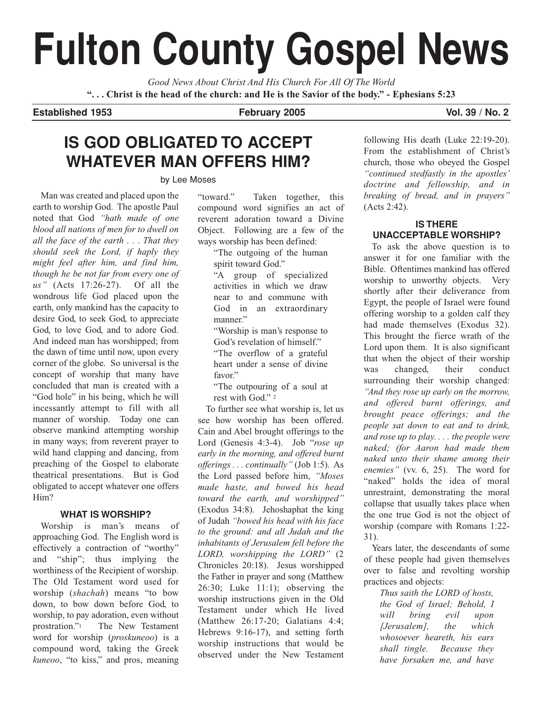# **Fulton County Gospel News**

*Good News About Christ And His Church For All Of The World* **". . . Christ is the head of the church: and He is the Savior of the body." - Ephesians 5:23**

## **Established 1953 February 2005 Vol. 39 / No. 2**

# **IS GOD OBLIGATED TO ACCEPT WHATEVER MAN OFFERS HIM?**

#### by Lee Moses

Man was created and placed upon the earth to worship God. The apostle Paul noted that God *"hath made of one blood all nations of men for to dwell on all the face of the earth . . . That they should seek the Lord, if haply they might feel after him, and find him, though he be not far from every one of us"* (Acts 17:26-27). Of all the wondrous life God placed upon the earth, only mankind has the capacity to desire God, to seek God, to appreciate God, to love God, and to adore God. And indeed man has worshipped; from the dawn of time until now, upon every corner of the globe. So universal is the concept of worship that many have concluded that man is created with a "God hole" in his being, which he will incessantly attempt to fill with all manner of worship. Today one can observe mankind attempting worship in many ways; from reverent prayer to wild hand clapping and dancing, from preaching of the Gospel to elaborate theatrical presentations. But is God obligated to accept whatever one offers Him?

## **WHAT IS WORSHIP?**

Worship is man's means of approaching God. The English word is effectively a contraction of "worthy" and "ship"; thus implying the worthiness of the Recipient of worship. The Old Testament word used for worship (*shachah*) means "to bow down, to bow down before God, to worship, to pay adoration, even without prostration."1 The New Testament word for worship (*proskuneoo*) is a compound word, taking the Greek *kuneoo*, "to kiss," and pros, meaning "toward." Taken together, this compound word signifies an act of reverent adoration toward a Divine Object. Following are a few of the ways worship has been defined:

"The outgoing of the human spirit toward God."

"A group of specialized activities in which we draw near to and commune with God in an extraordinary manner."

"Worship is man's response to God's revelation of himself." "The overflow of a grateful heart under a sense of divine favor."

"The outpouring of a soul at rest with God." 2

To further see what worship is, let us see how worship has been offered. Cain and Abel brought offerings to the Lord (Genesis 4:3-4). Job "*rose up early in the morning, and offered burnt offerings . . . continually"* (Job 1:5). As the Lord passed before him, *"Moses made haste, and bowed his head toward the earth, and worshipped"* (Exodus 34:8). Jehoshaphat the king of Judah *"bowed his head with his face to the ground: and all Judah and the inhabitants of Jerusalem fell before the LORD, worshipping the LORD"* (2 Chronicles 20:18). Jesus worshipped the Father in prayer and song (Matthew 26:30; Luke 11:1); observing the worship instructions given in the Old Testament under which He lived (Matthew 26:17-20; Galatians 4:4; Hebrews 9:16-17), and setting forth worship instructions that would be observed under the New Testament following His death (Luke 22:19-20). From the establishment of Christ's church, those who obeyed the Gospel *"continued stedfastly in the apostles' doctrine and fellowship, and in breaking of bread, and in prayers"* (Acts 2:42).

## **IS THERE UNACCEPTABLE WORSHIP?**

To ask the above question is to answer it for one familiar with the Bible. Oftentimes mankind has offered worship to unworthy objects. Very shortly after their deliverance from Egypt, the people of Israel were found offering worship to a golden calf they had made themselves (Exodus 32). This brought the fierce wrath of the Lord upon them. It is also significant that when the object of their worship was changed, their conduct surrounding their worship changed: *"And they rose up early on the morrow, and offered burnt offerings, and brought peace offerings; and the people sat down to eat and to drink, and rose up to play. . . . the people were naked; (for Aaron had made them naked unto their shame among their enemies"* (vv. 6, 25). The word for "naked" holds the idea of moral unrestraint, demonstrating the moral collapse that usually takes place when the one true God is not the object of worship (compare with Romans 1:22- 31).

Years later, the descendants of some of these people had given themselves over to false and revolting worship practices and objects:

> *Thus saith the LORD of hosts, the God of Israel; Behold, I will bring evil upon [Jerusalem], the which whosoever heareth, his ears shall tingle. Because they have forsaken me, and have*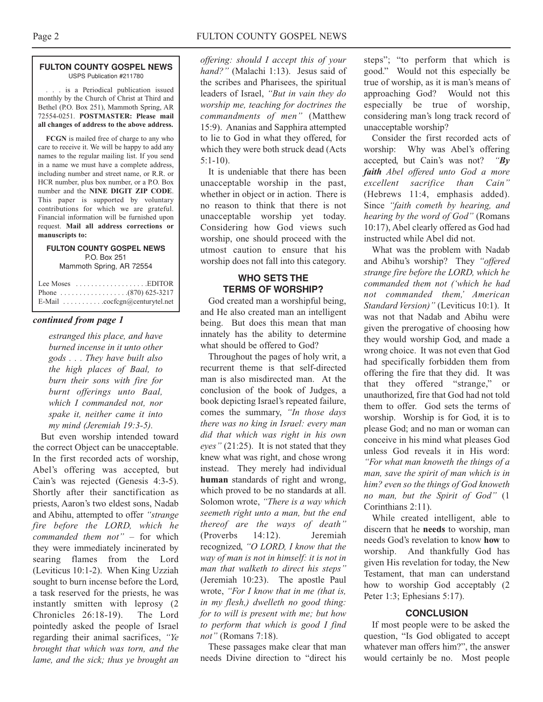#### **FULTON COUNTY GOSPEL NEWS** USPS Publication #211780

. . . is a Periodical publication issued monthly by the Church of Christ at Third and Bethel (P.O. Box 251), Mammoth Spring, AR 72554-0251. **POSTMASTER: Please mail all changes of address to the above address.**

**FCGN** is mailed free of charge to any who care to receive it. We will be happy to add any names to the regular mailing list. If you send in a name we must have a complete address, including number and street name, or R.R. or HCR number, plus box number, or a P.O. Box number and the **NINE DIGIT ZIP CODE**. This paper is supported by voluntary contributions for which we are grateful. Financial information will be furnished upon request. **Mail all address corrections or manuscripts to:**

#### **FULTON COUNTY GOSPEL NEWS** P.O. Box 251 Mammoth Spring, AR 72554

| Lee Moses $\dots \dots \dots \dots \dots$ . EDITOR          |
|-------------------------------------------------------------|
|                                                             |
| E-Mail $\ldots \ldots \ldots \ldots$ cocfcgn@centurytel.net |

#### *continued from page 1*

*estranged this place, and have burned incense in it unto other gods . . . They have built also the high places of Baal, to burn their sons with fire for burnt offerings unto Baal, which I commanded not, nor spake it, neither came it into my mind (Jeremiah 19:3-5).*

But even worship intended toward the correct Object can be unacceptable. In the first recorded acts of worship, Abel's offering was accepted, but Cain's was rejected (Genesis 4:3-5). Shortly after their sanctification as priests, Aaron's two eldest sons, Nadab and Abihu, attempted to offer *"strange fire before the LORD, which he commanded them not"* – for which they were immediately incinerated by searing flames from the Lord (Leviticus 10:1-2). When King Uzziah sought to burn incense before the Lord, a task reserved for the priests, he was instantly smitten with leprosy (2 Chronicles 26:18-19). The Lord pointedly asked the people of Israel regarding their animal sacrifices, *"Ye brought that which was torn, and the lame, and the sick; thus ye brought an*

*offering: should I accept this of your hand?"* (Malachi 1:13). Jesus said of the scribes and Pharisees, the spiritual leaders of Israel, *"But in vain they do worship me, teaching for doctrines the commandments of men"* (Matthew 15:9). Ananias and Sapphira attempted to lie to God in what they offered, for which they were both struck dead (Acts  $5:1-10$ ).

It is undeniable that there has been unacceptable worship in the past, whether in object or in action. There is no reason to think that there is not unacceptable worship yet today. Considering how God views such worship, one should proceed with the utmost caution to ensure that his worship does not fall into this category.

#### **WHO SETS THE TERMS OF WORSHIP?**

God created man a worshipful being, and He also created man an intelligent being. But does this mean that man innately has the ability to determine what should be offered to God?

Throughout the pages of holy writ, a recurrent theme is that self-directed man is also misdirected man. At the conclusion of the book of Judges, a book depicting Israel's repeated failure, comes the summary, *"In those days there was no king in Israel: every man did that which was right in his own eyes"* (21:25). It is not stated that they knew what was right, and chose wrong instead. They merely had individual **human** standards of right and wrong, which proved to be no standards at all. Solomon wrote, *"There is a way which seemeth right unto a man, but the end thereof are the ways of death"* (Proverbs 14:12). Jeremiah recognized, *"O LORD, I know that the way of man is not in himself: it is not in man that walketh to direct his steps"* (Jeremiah 10:23). The apostle Paul wrote, *"For I know that in me (that is, in my flesh,) dwelleth no good thing: for to will is present with me; but how to perform that which is good I find not"* (Romans 7:18).

These passages make clear that man needs Divine direction to "direct his

steps"; "to perform that which is good." Would not this especially be true of worship, as it is man's means of approaching God? Would not this especially be true of worship, considering man's long track record of unacceptable worship?

Consider the first recorded acts of worship: Why was Abel's offering accepted, but Cain's was not? *"By faith Abel offered unto God a more excellent sacrifice than Cain"* (Hebrews 11:4, emphasis added). Since *"faith cometh by hearing, and hearing by the word of God"* (Romans 10:17), Abel clearly offered as God had instructed while Abel did not.

What was the problem with Nadab and Abihu's worship? They *"offered strange fire before the LORD, which he commanded them not ('which he had not commanded them,' American Standard Version)"* (Leviticus 10:1). It was not that Nadab and Abihu were given the prerogative of choosing how they would worship God, and made a wrong choice. It was not even that God had specifically forbidden them from offering the fire that they did. It was that they offered "strange," or unauthorized, fire that God had not told them to offer. God sets the terms of worship. Worship is for God, it is to please God; and no man or woman can conceive in his mind what pleases God unless God reveals it in His word: *"For what man knoweth the things of a man, save the spirit of man which is in him? even so the things of God knoweth no man, but the Spirit of God"* (1 Corinthians 2:11).

While created intelligent, able to discern that he **needs** to worship, man needs God's revelation to know **how** to worship. And thankfully God has given His revelation for today, the New Testament, that man can understand how to worship God acceptably (2 Peter 1:3; Ephesians 5:17).

#### **CONCLUSION**

If most people were to be asked the question, "Is God obligated to accept whatever man offers him?", the answer would certainly be no. Most people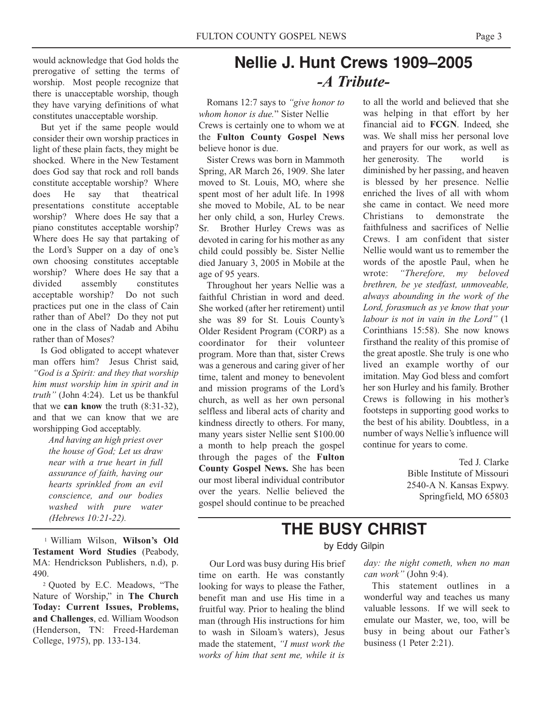would acknowledge that God holds the prerogative of setting the terms of worship. Most people recognize that there is unacceptable worship, though they have varying definitions of what constitutes unacceptable worship.

But yet if the same people would consider their own worship practices in light of these plain facts, they might be shocked. Where in the New Testament does God say that rock and roll bands constitute acceptable worship? Where does He say that theatrical presentations constitute acceptable worship? Where does He say that a piano constitutes acceptable worship? Where does He say that partaking of the Lord's Supper on a day of one's own choosing constitutes acceptable worship? Where does He say that a divided assembly constitutes acceptable worship? Do not such practices put one in the class of Cain rather than of Abel? Do they not put one in the class of Nadab and Abihu rather than of Moses?

Is God obligated to accept whatever man offers him? Jesus Christ said, *"God is a Spirit: and they that worship him must worship him in spirit and in truth"* (John 4:24). Let us be thankful that we **can know** the truth (8:31-32), and that we can know that we are worshipping God acceptably.

> *And having an high priest over the house of God; Let us draw near with a true heart in full assurance of faith, having our hearts sprinkled from an evil conscience, and our bodies washed with pure water (Hebrews 10:21-22).*

1 William Wilson, **Wilson's Old Testament Word Studies** (Peabody, MA: Hendrickson Publishers, n.d), p. 490.

2 Quoted by E.C. Meadows, "The Nature of Worship," in **The Church Today: Current Issues, Problems, and Challenges**, ed. William Woodson (Henderson, TN: Freed-Hardeman College, 1975), pp. 133-134.

# **Nellie J. Hunt Crews 1909–2005** *-A Tribute-*

Romans 12:7 says to *"give honor to whom honor is due.*" Sister Nellie Crews is certainly one to whom we at the **Fulton County Gospel News** believe honor is due.

Sister Crews was born in Mammoth Spring, AR March 26, 1909. She later moved to St. Louis, MO, where she spent most of her adult life. In 1998 she moved to Mobile, AL to be near her only child, a son, Hurley Crews. Sr. Brother Hurley Crews was as devoted in caring for his mother as any child could possibly be. Sister Nellie died January 3, 2005 in Mobile at the age of 95 years.

Throughout her years Nellie was a faithful Christian in word and deed. She worked (after her retirement) until she was 89 for St. Louis County's Older Resident Program (CORP) as a coordinator for their volunteer program. More than that, sister Crews was a generous and caring giver of her time, talent and money to benevolent and mission programs of the Lord's church, as well as her own personal selfless and liberal acts of charity and kindness directly to others. For many, many years sister Nellie sent \$100.00 a month to help preach the gospel through the pages of the **Fulton County Gospel News.** She has been our most liberal individual contributor over the years. Nellie believed the gospel should continue to be preached

to all the world and believed that she was helping in that effort by her financial aid to **FCGN**. Indeed, she was. We shall miss her personal love and prayers for our work, as well as her generosity. The world is diminished by her passing, and heaven is blessed by her presence. Nellie enriched the lives of all with whom she came in contact. We need more Christians to demonstrate the faithfulness and sacrifices of Nellie Crews. I am confident that sister Nellie would want us to remember the words of the apostle Paul, when he wrote: *"Therefore, my beloved brethren, be ye stedfast, unmoveable, always abounding in the work of the Lord, forasmuch as ye know that your labour is not in vain in the Lord"* (1 Corinthians 15:58). She now knows firsthand the reality of this promise of the great apostle. She truly is one who lived an example worthy of our imitation. May God bless and comfort her son Hurley and his family. Brother Crews is following in his mother's footsteps in supporting good works to the best of his ability. Doubtless, in a number of ways Nellie's influence will continue for years to come.

> Ted J. Clarke Bible Institute of Missouri 2540-A N. Kansas Expwy. Springfield, MO 65803

# **THE BUSY CHRIST**

by Eddy Gilpin

Our Lord was busy during His brief time on earth. He was constantly looking for ways to please the Father, benefit man and use His time in a fruitful way. Prior to healing the blind man (through His instructions for him to wash in Siloam's waters), Jesus made the statement, *"I must work the works of him that sent me, while it is* *day: the night cometh, when no man can work"* (John 9:4).

This statement outlines in a wonderful way and teaches us many valuable lessons. If we will seek to emulate our Master, we, too, will be busy in being about our Father's business (1 Peter 2:21).